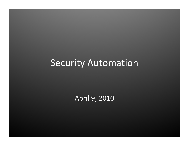### Security Automation

April 9, 2010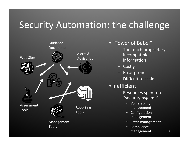# Security Automation: the challenge



- "Tower of Babel"
	- Too much proprietary, incompatible information
	- Costly
	- Error prone
	- Difficult to scale
- Inefficient
	- Resources spent on "security hygiene"
		- Vulnerability management
		- Configuration management
		- Patch management
		- Compliance management 2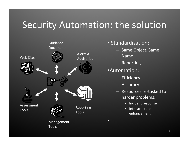# Security Automation: the solution



#### • Standardization:

- Same Object, Same Name
- Reporting
- •Automation:

 $\bullet$ 

- Efficiency
- Accuracy
- Resources re‐tasked to harder problems:
	- Incident response
	- **Infrastructure** enhancement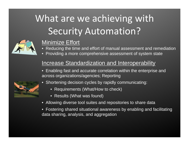# What are we achieving with Security Automation?



#### Minimize Effort

- $\Box$ Reducing the time and effort of manual assessment and remediation
- $\bullet$ Providing a more comprehensive assessment of system state

#### Increase Standardization and Interoperability

• Enabling fast and accurate correlation within the enterprise and across organizations/agencies; Reporting



- Shortening decision cycles by rapidly communicating:
	- Requirements (What/How to check)
	- Results (What was found)
- Allowing diverse tool suites and repositories to share data
- Fostering shared situational awareness by enabling and facilitating data sharing, analysis, and aggregation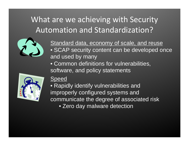#### What are we achieving with Security Automation and Standardization?



Standard data, economy of scale, and reuse • SCAP security content can be developed once and used by many

• Common definitions for vulnerabilities, software, and policy statements



#### Speed

• Rapidly identify vulnerabilities and improperly configured systems and communicate the degree of associated risk • Zero day malware detection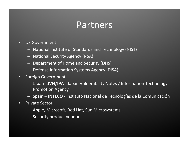## Partners

- US Government
	- National Institute of Standards and Technology (NIST)
	- National Security Agency (NSA)
	- Department of Homeland Security (DHS)
	- Defense Information Systems Agency (DISA)
- Foreign Government
	- Japan ‐ **JVN/IPA** ‐ Japan Vulnerability Notes / Information Technology Promotion Agency
	- Spain **INTECO** ‐ Instituto Nacional de Tecnologías de la Comunicación
- Private Sector
	- Apple, Microsoft, Red Hat, Sun Microsystems
	- Security product vendors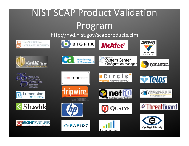# NIST SCAP Product Validation Program

http://nvd.nist.gov/scapproducts.cfm

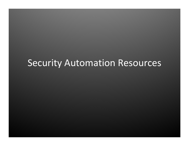### Security Automation Resources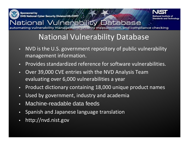

Sponsored by **DHS National Cyber Security Division/US-CERT** 



#### National Vulnerability Database omating vulnerability management, security measurement, and compliance checking

#### National Vulnerability Database

- NVD is the U.S. government repository of public vulnerability management information.
- Provides standardized reference for software vulnerabilities.
- Over 39,000 CVE entries with the NVD Analysis Team evaluating over 6,000 vulnerabilities <sup>a</sup> year
- Product dictionary containing 18,000 unique product names
- Used by government, industry and academia
- Machine-readable data feeds
- Spanish and Japanese language translation
- http://nvd.nist.gov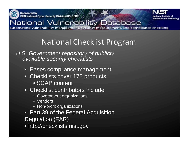

**Sponsored by** DHS National Cyber Security Division/US-CERT



#### National Vulnerability Database automating vulnerability management, security measurement, and compliance checking

#### National Checklist Program

#### *U.S. Government repository of publicly available security checklists*

- Eases compliance management
- Checklists cover 178 products
	- SCAP content
- Checklist contributors include
	- Government organizations
	- Vendors
	- Non-profit organizations
- Part 39 of the Federal Acquisition Regulation (FAR)
- http://checklists.nist.gov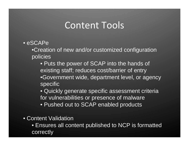## Content Tools

• eSCAPe

•Creation of new and/or customized configuration policies

• Puts the power of SCAP into the hands of existing staff; reduces cost/barrier of entry •Government wide, department level, or agency specific

• Quickly generate specific assessment criteria for vulnerabilities or presence of malware

- Pushed out to SCAP enabled products
- Content Validation
	- Ensures all content published to NCP is formatted correctly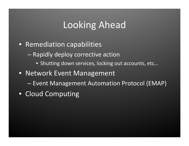## Looking Ahead

- Remediation capabilities
	- Rapidly deploy corrective action
		- Shutting down services, locking out accounts, etc…
- Network Event Management
	- Event Management Automation Protocol (EMAP)
- Cloud Computing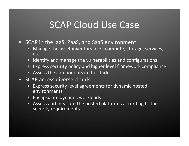## SCAP Cloud Use Case

- SCAP in the IaaS, PaaS, and SaaS environment
	- Manage the asset inventory, e.g., compute, storage, services, etc.
	- Identify and manage the vulnerabilities and configurations
	- Express security policy and higher level framework compliance
	- Assess the components in the stack
- SCAP across diverse clouds
	- Express security level agreements for dynamic hosted environments
	- Encapsulate dynamic workloads
	- Assess and measure the hosted platforms according to the security requirements